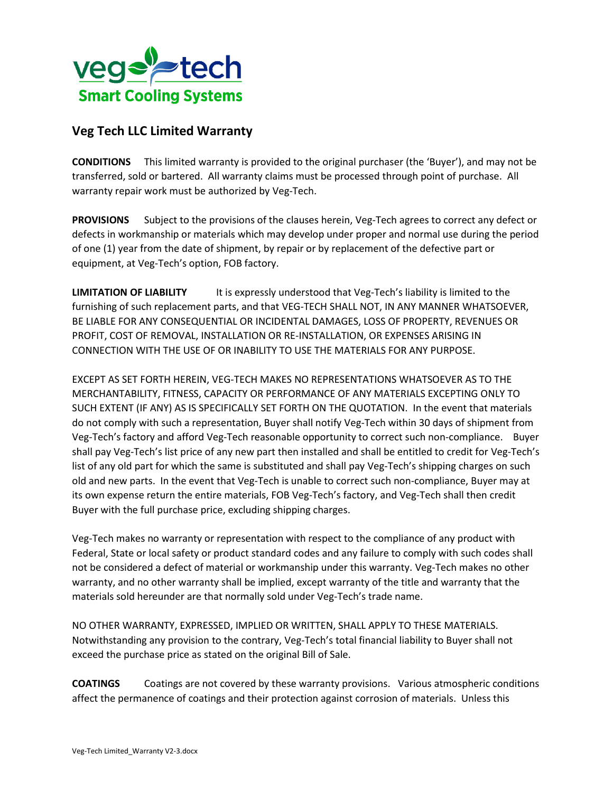

## **Veg Tech LLC Limited Warranty**

**CONDITIONS** This limited warranty is provided to the original purchaser (the 'Buyer'), and may not be transferred, sold or bartered. All warranty claims must be processed through point of purchase. All warranty repair work must be authorized by Veg-Tech.

**PROVISIONS** Subject to the provisions of the clauses herein, Veg-Tech agrees to correct any defect or defects in workmanship or materials which may develop under proper and normal use during the period of one (1) year from the date of shipment, by repair or by replacement of the defective part or equipment, at Veg-Tech's option, FOB factory.

**LIMITATION OF LIABILITY** It is expressly understood that Veg-Tech's liability is limited to the furnishing of such replacement parts, and that VEG-TECH SHALL NOT, IN ANY MANNER WHATSOEVER, BE LIABLE FOR ANY CONSEQUENTIAL OR INCIDENTAL DAMAGES, LOSS OF PROPERTY, REVENUES OR PROFIT, COST OF REMOVAL, INSTALLATION OR RE-INSTALLATION, OR EXPENSES ARISING IN CONNECTION WITH THE USE OF OR INABILITY TO USE THE MATERIALS FOR ANY PURPOSE.

EXCEPT AS SET FORTH HEREIN, VEG-TECH MAKES NO REPRESENTATIONS WHATSOEVER AS TO THE MERCHANTABILITY, FITNESS, CAPACITY OR PERFORMANCE OF ANY MATERIALS EXCEPTING ONLY TO SUCH EXTENT (IF ANY) AS IS SPECIFICALLY SET FORTH ON THE QUOTATION. In the event that materials do not comply with such a representation, Buyer shall notify Veg-Tech within 30 days of shipment from Veg-Tech's factory and afford Veg-Tech reasonable opportunity to correct such non-compliance. Buyer shall pay Veg-Tech's list price of any new part then installed and shall be entitled to credit for Veg-Tech's list of any old part for which the same is substituted and shall pay Veg-Tech's shipping charges on such old and new parts. In the event that Veg-Tech is unable to correct such non-compliance, Buyer may at its own expense return the entire materials, FOB Veg-Tech's factory, and Veg-Tech shall then credit Buyer with the full purchase price, excluding shipping charges.

Veg-Tech makes no warranty or representation with respect to the compliance of any product with Federal, State or local safety or product standard codes and any failure to comply with such codes shall not be considered a defect of material or workmanship under this warranty. Veg-Tech makes no other warranty, and no other warranty shall be implied, except warranty of the title and warranty that the materials sold hereunder are that normally sold under Veg-Tech's trade name.

NO OTHER WARRANTY, EXPRESSED, IMPLIED OR WRITTEN, SHALL APPLY TO THESE MATERIALS. Notwithstanding any provision to the contrary, Veg-Tech's total financial liability to Buyer shall not exceed the purchase price as stated on the original Bill of Sale.

**COATINGS** Coatings are not covered by these warranty provisions. Various atmospheric conditions affect the permanence of coatings and their protection against corrosion of materials. Unless this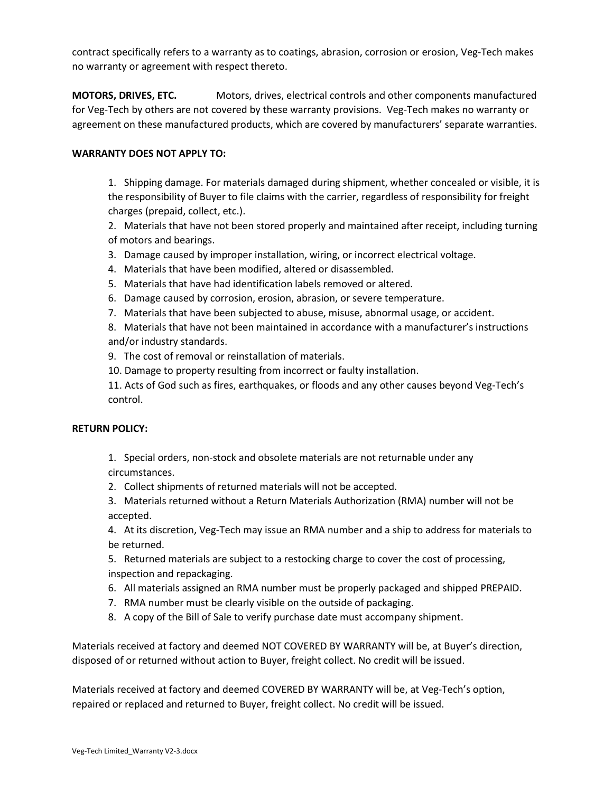contract specifically refers to a warranty as to coatings, abrasion, corrosion or erosion, Veg-Tech makes no warranty or agreement with respect thereto.

**MOTORS, DRIVES, ETC.** Motors, drives, electrical controls and other components manufactured for Veg-Tech by others are not covered by these warranty provisions. Veg-Tech makes no warranty or agreement on these manufactured products, which are covered by manufacturers' separate warranties.

## **WARRANTY DOES NOT APPLY TO:**

1. Shipping damage. For materials damaged during shipment, whether concealed or visible, it is the responsibility of Buyer to file claims with the carrier, regardless of responsibility for freight charges (prepaid, collect, etc.).

2. Materials that have not been stored properly and maintained after receipt, including turning of motors and bearings.

- 3. Damage caused by improper installation, wiring, or incorrect electrical voltage.
- 4. Materials that have been modified, altered or disassembled.
- 5. Materials that have had identification labels removed or altered.
- 6. Damage caused by corrosion, erosion, abrasion, or severe temperature.
- 7. Materials that have been subjected to abuse, misuse, abnormal usage, or accident.

8. Materials that have not been maintained in accordance with a manufacturer's instructions and/or industry standards.

- 9. The cost of removal or reinstallation of materials.
- 10. Damage to property resulting from incorrect or faulty installation.

11. Acts of God such as fires, earthquakes, or floods and any other causes beyond Veg-Tech's control.

## **RETURN POLICY:**

1. Special orders, non-stock and obsolete materials are not returnable under any circumstances.

- 2. Collect shipments of returned materials will not be accepted.
- 3. Materials returned without a Return Materials Authorization (RMA) number will not be accepted.

4. At its discretion, Veg-Tech may issue an RMA number and a ship to address for materials to be returned.

5. Returned materials are subject to a restocking charge to cover the cost of processing, inspection and repackaging.

- 6. All materials assigned an RMA number must be properly packaged and shipped PREPAID.
- 7. RMA number must be clearly visible on the outside of packaging.
- 8. A copy of the Bill of Sale to verify purchase date must accompany shipment.

Materials received at factory and deemed NOT COVERED BY WARRANTY will be, at Buyer's direction, disposed of or returned without action to Buyer, freight collect. No credit will be issued.

Materials received at factory and deemed COVERED BY WARRANTY will be, at Veg-Tech's option, repaired or replaced and returned to Buyer, freight collect. No credit will be issued.